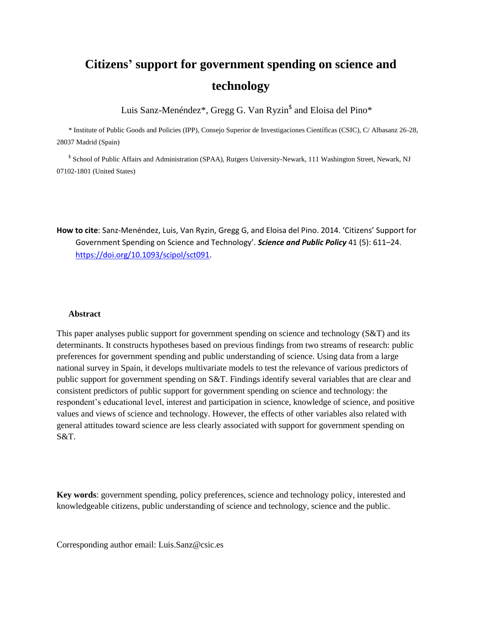# **Citizens' support for government spending on science and technology**

Luis Sanz-Menéndez\*, Gregg G. Van Ryzin<sup>\$</sup> and Eloisa del Pino\*

\* Institute of Public Goods and Policies (IPP), Consejo Superior de Investigaciones Científicas (CSIC), C/ Albasanz 26-28, 28037 Madrid (Spain)

<sup>\$</sup> School of Public Affairs and Administration (SPAA), Rutgers University-Newark, 111 Washington Street, Newark, NJ 07102-1801 (United States)

**How to cite**: Sanz-Menéndez, Luis, Van Ryzin, Gregg G, and Eloisa del Pino. 2014. 'Citizens' Support for Government Spending on Science and Technology'. *Science and Public Policy* 41 (5): 611–24. [https://doi.org/10.1093/scipol/sct091.](https://doi.org/10.1093/scipol/sct091)

#### **Abstract**

This paper analyses public support for government spending on science and technology (S&T) and its determinants. It constructs hypotheses based on previous findings from two streams of research: public preferences for government spending and public understanding of science. Using data from a large national survey in Spain, it develops multivariate models to test the relevance of various predictors of public support for government spending on S&T. Findings identify several variables that are clear and consistent predictors of public support for government spending on science and technology: the respondent's educational level, interest and participation in science, knowledge of science, and positive values and views of science and technology. However, the effects of other variables also related with general attitudes toward science are less clearly associated with support for government spending on S&T.

**Key words**: government spending, policy preferences, science and technology policy, interested and knowledgeable citizens, public understanding of science and technology, science and the public.

Corresponding author email: Luis.Sanz@csic.es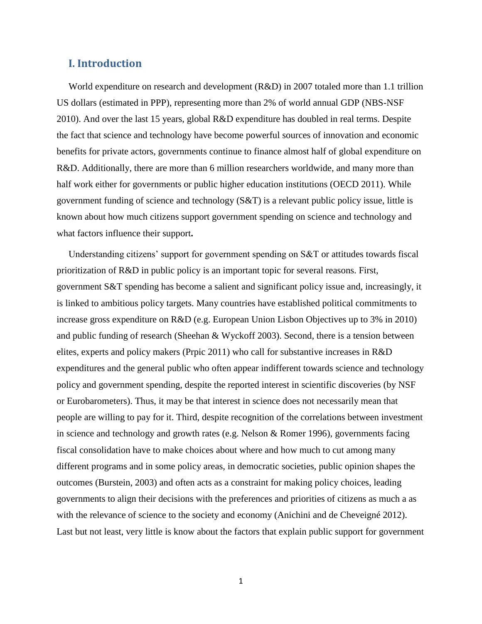# **I. Introduction**

World expenditure on research and development (R&D) in 2007 totaled more than 1.1 trillion US dollars (estimated in PPP), representing more than 2% of world annual GDP (NBS-NSF 2010). And over the last 15 years, global R&D expenditure has doubled in real terms. Despite the fact that science and technology have become powerful sources of innovation and economic benefits for private actors, governments continue to finance almost half of global expenditure on R&D. Additionally, there are more than 6 million researchers worldwide, and many more than half work either for governments or public higher education institutions (OECD 2011). While government funding of science and technology (S&T) is a relevant public policy issue, little is known about how much citizens support government spending on science and technology and what factors influence their support**.**

Understanding citizens' support for government spending on S&T or attitudes towards fiscal prioritization of R&D in public policy is an important topic for several reasons. First, government S&T spending has become a salient and significant policy issue and, increasingly, it is linked to ambitious policy targets. Many countries have established political commitments to increase gross expenditure on R&D (e.g. European Union Lisbon Objectives up to 3% in 2010) and public funding of research (Sheehan & Wyckoff 2003). Second, there is a tension between elites, experts and policy makers (Prpic 2011) who call for substantive increases in R&D expenditures and the general public who often appear indifferent towards science and technology policy and government spending, despite the reported interest in scientific discoveries (by NSF or Eurobarometers). Thus, it may be that interest in science does not necessarily mean that people are willing to pay for it. Third, despite recognition of the correlations between investment in science and technology and growth rates (e.g. Nelson & Romer 1996), governments facing fiscal consolidation have to make choices about where and how much to cut among many different programs and in some policy areas, in democratic societies, public opinion shapes the outcomes (Burstein, 2003) and often acts as a constraint for making policy choices, leading governments to align their decisions with the preferences and priorities of citizens as much a as with the relevance of science to the society and economy (Anichini and de Cheveigné 2012). Last but not least, very little is know about the factors that explain public support for government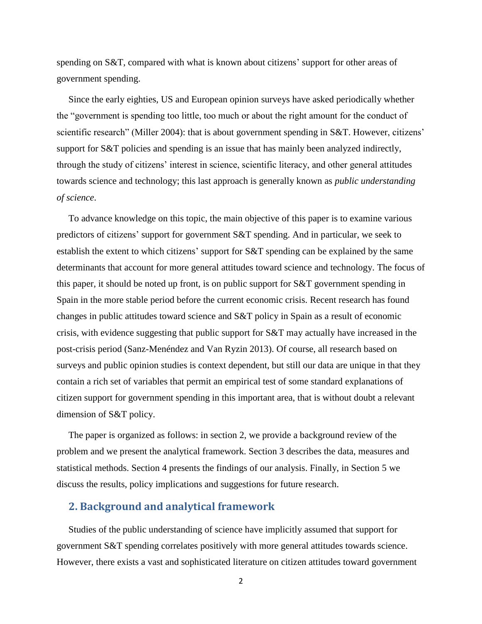spending on S&T, compared with what is known about citizens' support for other areas of government spending.

Since the early eighties, US and European opinion surveys have asked periodically whether the "government is spending too little, too much or about the right amount for the conduct of scientific research" (Miller 2004): that is about government spending in S&T. However, citizens' support for S&T policies and spending is an issue that has mainly been analyzed indirectly, through the study of citizens' interest in science, scientific literacy, and other general attitudes towards science and technology; this last approach is generally known as *public understanding of science*.

To advance knowledge on this topic, the main objective of this paper is to examine various predictors of citizens' support for government S&T spending. And in particular, we seek to establish the extent to which citizens' support for S&T spending can be explained by the same determinants that account for more general attitudes toward science and technology. The focus of this paper, it should be noted up front, is on public support for S&T government spending in Spain in the more stable period before the current economic crisis. Recent research has found changes in public attitudes toward science and S&T policy in Spain as a result of economic crisis, with evidence suggesting that public support for S&T may actually have increased in the post-crisis period (Sanz-Menéndez and Van Ryzin 2013). Of course, all research based on surveys and public opinion studies is context dependent, but still our data are unique in that they contain a rich set of variables that permit an empirical test of some standard explanations of citizen support for government spending in this important area, that is without doubt a relevant dimension of S&T policy.

The paper is organized as follows: in section 2, we provide a background review of the problem and we present the analytical framework. Section 3 describes the data, measures and statistical methods. Section 4 presents the findings of our analysis. Finally, in Section 5 we discuss the results, policy implications and suggestions for future research.

# **2. Background and analytical framework**

Studies of the public understanding of science have implicitly assumed that support for government S&T spending correlates positively with more general attitudes towards science. However, there exists a vast and sophisticated literature on citizen attitudes toward government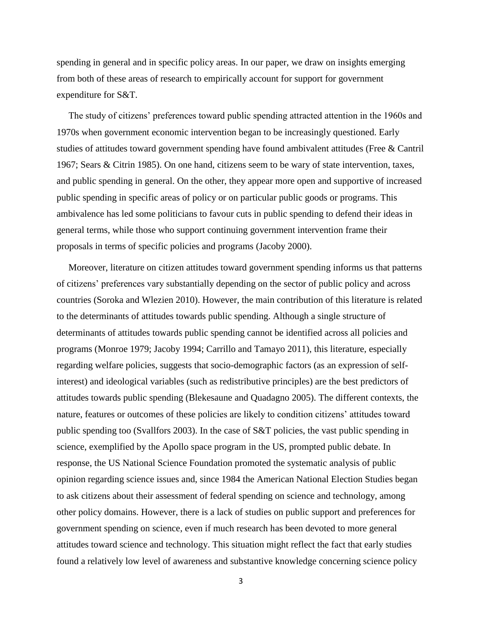spending in general and in specific policy areas. In our paper, we draw on insights emerging from both of these areas of research to empirically account for support for government expenditure for S&T.

The study of citizens' preferences toward public spending attracted attention in the 1960s and 1970s when government economic intervention began to be increasingly questioned. Early studies of attitudes toward government spending have found ambivalent attitudes (Free & Cantril 1967; Sears & Citrin 1985). On one hand, citizens seem to be wary of state intervention, taxes, and public spending in general. On the other, they appear more open and supportive of increased public spending in specific areas of policy or on particular public goods or programs. This ambivalence has led some politicians to favour cuts in public spending to defend their ideas in general terms, while those who support continuing government intervention frame their proposals in terms of specific policies and programs (Jacoby 2000).

Moreover, literature on citizen attitudes toward government spending informs us that patterns of citizens' preferences vary substantially depending on the sector of public policy and across countries (Soroka and Wlezien 2010). However, the main contribution of this literature is related to the determinants of attitudes towards public spending. Although a single structure of determinants of attitudes towards public spending cannot be identified across all policies and programs (Monroe 1979; Jacoby 1994; Carrillo and Tamayo 2011), this literature, especially regarding welfare policies, suggests that socio-demographic factors (as an expression of selfinterest) and ideological variables (such as redistributive principles) are the best predictors of attitudes towards public spending (Blekesaune and Quadagno 2005). The different contexts, the nature, features or outcomes of these policies are likely to condition citizens' attitudes toward public spending too (Svallfors 2003). In the case of S&T policies, the vast public spending in science, exemplified by the Apollo space program in the US, prompted public debate. In response, the US National Science Foundation promoted the systematic analysis of public opinion regarding science issues and, since 1984 the American National Election Studies began to ask citizens about their assessment of federal spending on science and technology, among other policy domains. However, there is a lack of studies on public support and preferences for government spending on science, even if much research has been devoted to more general attitudes toward science and technology. This situation might reflect the fact that early studies found a relatively low level of awareness and substantive knowledge concerning science policy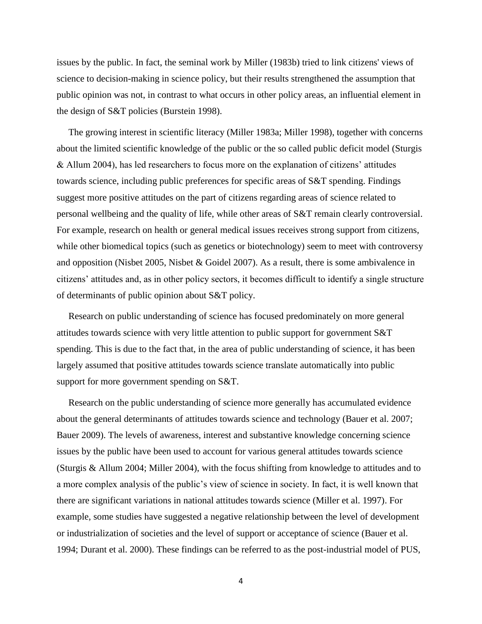issues by the public. In fact, the seminal work by Miller (1983b) tried to link citizens' views of science to decision-making in science policy, but their results strengthened the assumption that public opinion was not, in contrast to what occurs in other policy areas, an influential element in the design of S&T policies (Burstein 1998).

The growing interest in scientific literacy (Miller 1983a; Miller 1998), together with concerns about the limited scientific knowledge of the public or the so called public deficit model (Sturgis & Allum 2004), has led researchers to focus more on the explanation of citizens' attitudes towards science, including public preferences for specific areas of S&T spending. Findings suggest more positive attitudes on the part of citizens regarding areas of science related to personal wellbeing and the quality of life, while other areas of S&T remain clearly controversial. For example, research on health or general medical issues receives strong support from citizens, while other biomedical topics (such as genetics or biotechnology) seem to meet with controversy and opposition (Nisbet 2005, Nisbet & Goidel 2007). As a result, there is some ambivalence in citizens' attitudes and, as in other policy sectors, it becomes difficult to identify a single structure of determinants of public opinion about S&T policy.

Research on public understanding of science has focused predominately on more general attitudes towards science with very little attention to public support for government S&T spending. This is due to the fact that, in the area of public understanding of science, it has been largely assumed that positive attitudes towards science translate automatically into public support for more government spending on S&T.

Research on the public understanding of science more generally has accumulated evidence about the general determinants of attitudes towards science and technology (Bauer et al. 2007; Bauer 2009). The levels of awareness, interest and substantive knowledge concerning science issues by the public have been used to account for various general attitudes towards science (Sturgis & Allum 2004; Miller 2004), with the focus shifting from knowledge to attitudes and to a more complex analysis of the public's view of science in society. In fact, it is well known that there are significant variations in national attitudes towards science (Miller et al. 1997). For example, some studies have suggested a negative relationship between the level of development or industrialization of societies and the level of support or acceptance of science (Bauer et al. 1994; Durant et al. 2000). These findings can be referred to as the post-industrial model of PUS,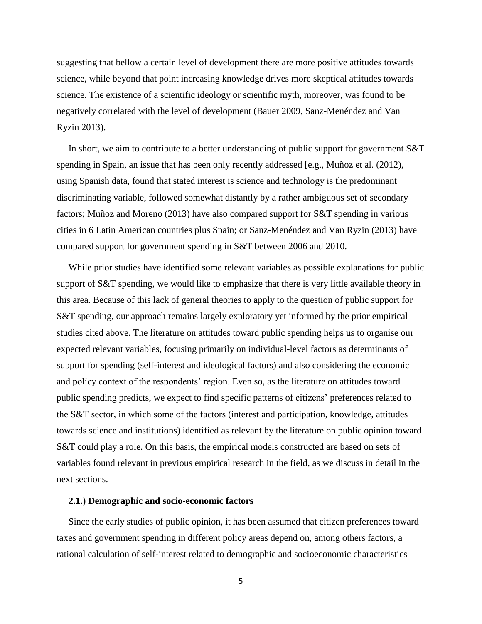suggesting that bellow a certain level of development there are more positive attitudes towards science, while beyond that point increasing knowledge drives more skeptical attitudes towards science. The existence of a scientific ideology or scientific myth, moreover, was found to be negatively correlated with the level of development (Bauer 2009, Sanz-Menéndez and Van Ryzin 2013).

In short, we aim to contribute to a better understanding of public support for government S&T spending in Spain, an issue that has been only recently addressed [e.g., Muñoz et al. (2012), using Spanish data, found that stated interest is science and technology is the predominant discriminating variable, followed somewhat distantly by a rather ambiguous set of secondary factors; Muñoz and Moreno (2013) have also compared support for S&T spending in various cities in 6 Latin American countries plus Spain; or Sanz-Menéndez and Van Ryzin (2013) have compared support for government spending in S&T between 2006 and 2010.

While prior studies have identified some relevant variables as possible explanations for public support of S&T spending, we would like to emphasize that there is very little available theory in this area. Because of this lack of general theories to apply to the question of public support for S&T spending, our approach remains largely exploratory yet informed by the prior empirical studies cited above. The literature on attitudes toward public spending helps us to organise our expected relevant variables, focusing primarily on individual-level factors as determinants of support for spending (self-interest and ideological factors) and also considering the economic and policy context of the respondents' region. Even so, as the literature on attitudes toward public spending predicts, we expect to find specific patterns of citizens' preferences related to the S&T sector, in which some of the factors (interest and participation, knowledge, attitudes towards science and institutions) identified as relevant by the literature on public opinion toward S&T could play a role. On this basis, the empirical models constructed are based on sets of variables found relevant in previous empirical research in the field, as we discuss in detail in the next sections.

#### **2.1.) Demographic and socio-economic factors**

Since the early studies of public opinion, it has been assumed that citizen preferences toward taxes and government spending in different policy areas depend on, among others factors, a rational calculation of self-interest related to demographic and socioeconomic characteristics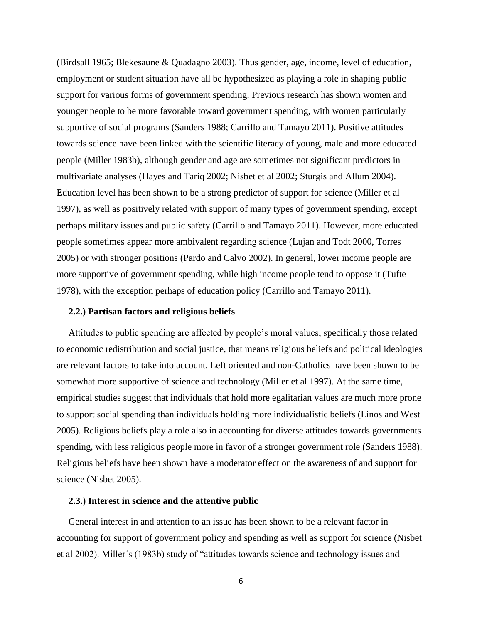(Birdsall 1965; Blekesaune & Quadagno 2003). Thus gender, age, income, level of education, employment or student situation have all be hypothesized as playing a role in shaping public support for various forms of government spending. Previous research has shown women and younger people to be more favorable toward government spending, with women particularly supportive of social programs (Sanders 1988; Carrillo and Tamayo 2011). Positive attitudes towards science have been linked with the scientific literacy of young, male and more educated people (Miller 1983b), although gender and age are sometimes not significant predictors in multivariate analyses (Hayes and Tariq 2002; Nisbet et al 2002; Sturgis and Allum 2004). Education level has been shown to be a strong predictor of support for science (Miller et al 1997), as well as positively related with support of many types of government spending, except perhaps military issues and public safety (Carrillo and Tamayo 2011). However, more educated people sometimes appear more ambivalent regarding science (Lujan and Todt 2000, Torres 2005) or with stronger positions (Pardo and Calvo 2002). In general, lower income people are more supportive of government spending, while high income people tend to oppose it (Tufte 1978), with the exception perhaps of education policy (Carrillo and Tamayo 2011).

## **2.2.) Partisan factors and religious beliefs**

Attitudes to public spending are affected by people's moral values, specifically those related to economic redistribution and social justice, that means religious beliefs and political ideologies are relevant factors to take into account. Left oriented and non-Catholics have been shown to be somewhat more supportive of science and technology (Miller et al 1997). At the same time, empirical studies suggest that individuals that hold more egalitarian values are much more prone to support social spending than individuals holding more individualistic beliefs (Linos and West 2005). Religious beliefs play a role also in accounting for diverse attitudes towards governments spending, with less religious people more in favor of a stronger government role (Sanders 1988). Religious beliefs have been shown have a moderator effect on the awareness of and support for science (Nisbet 2005).

## **2.3.) Interest in science and the attentive public**

General interest in and attention to an issue has been shown to be a relevant factor in accounting for support of government policy and spending as well as support for science (Nisbet et al 2002). Miller´s (1983b) study of "attitudes towards science and technology issues and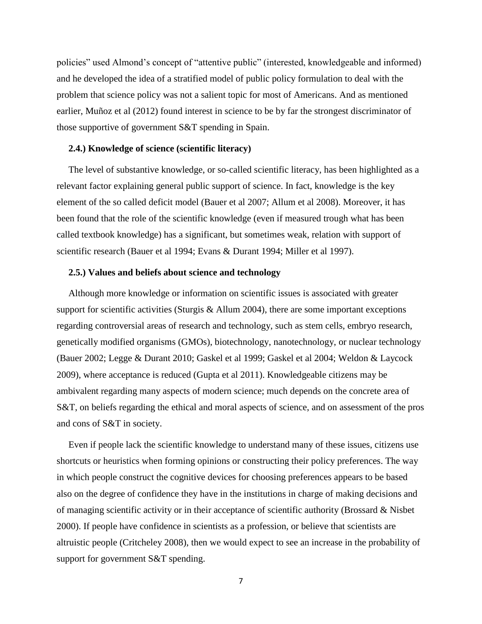policies" used Almond's concept of "attentive public" (interested, knowledgeable and informed) and he developed the idea of a stratified model of public policy formulation to deal with the problem that science policy was not a salient topic for most of Americans. And as mentioned earlier, Muñoz et al (2012) found interest in science to be by far the strongest discriminator of those supportive of government S&T spending in Spain.

## **2.4.) Knowledge of science (scientific literacy)**

The level of substantive knowledge, or so-called scientific literacy, has been highlighted as a relevant factor explaining general public support of science. In fact, knowledge is the key element of the so called deficit model (Bauer et al 2007; Allum et al 2008). Moreover, it has been found that the role of the scientific knowledge (even if measured trough what has been called textbook knowledge) has a significant, but sometimes weak, relation with support of scientific research (Bauer et al 1994; Evans & Durant 1994; Miller et al 1997).

## **2.5.) Values and beliefs about science and technology**

Although more knowledge or information on scientific issues is associated with greater support for scientific activities (Sturgis & Allum 2004), there are some important exceptions regarding controversial areas of research and technology, such as stem cells, embryo research, genetically modified organisms (GMOs), biotechnology, nanotechnology, or nuclear technology (Bauer 2002; Legge & Durant 2010; Gaskel et al 1999; Gaskel et al 2004; Weldon & Laycock 2009), where acceptance is reduced (Gupta et al 2011). Knowledgeable citizens may be ambivalent regarding many aspects of modern science; much depends on the concrete area of S&T, on beliefs regarding the ethical and moral aspects of science, and on assessment of the pros and cons of S&T in society.

Even if people lack the scientific knowledge to understand many of these issues, citizens use shortcuts or heuristics when forming opinions or constructing their policy preferences. The way in which people construct the cognitive devices for choosing preferences appears to be based also on the degree of confidence they have in the institutions in charge of making decisions and of managing scientific activity or in their acceptance of scientific authority (Brossard & Nisbet 2000). If people have confidence in scientists as a profession, or believe that scientists are altruistic people (Critcheley 2008), then we would expect to see an increase in the probability of support for government S&T spending.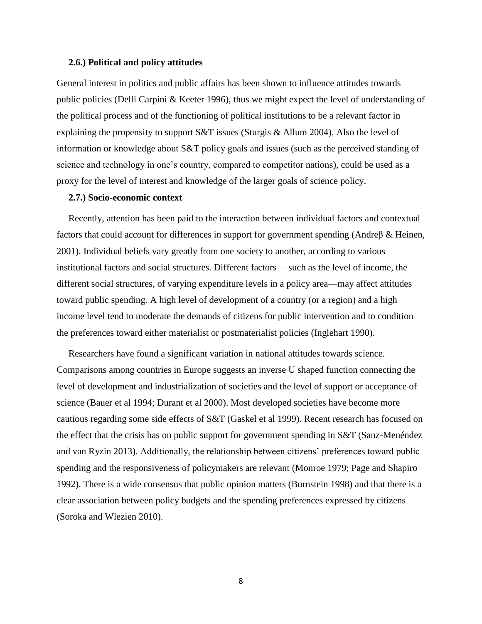#### **2.6.) Political and policy attitudes**

General interest in politics and public affairs has been shown to influence attitudes towards public policies (Delli Carpini & Keeter 1996), thus we might expect the level of understanding of the political process and of the functioning of political institutions to be a relevant factor in explaining the propensity to support S&T issues (Sturgis & Allum 2004). Also the level of information or knowledge about S&T policy goals and issues (such as the perceived standing of science and technology in one's country, compared to competitor nations), could be used as a proxy for the level of interest and knowledge of the larger goals of science policy.

#### **2.7.) Socio-economic context**

Recently, attention has been paid to the interaction between individual factors and contextual factors that could account for differences in support for government spending (Andreβ & Heinen, 2001). Individual beliefs vary greatly from one society to another, according to various institutional factors and social structures. Different factors —such as the level of income, the different social structures, of varying expenditure levels in a policy area—may affect attitudes toward public spending. A high level of development of a country (or a region) and a high income level tend to moderate the demands of citizens for public intervention and to condition the preferences toward either materialist or postmaterialist policies (Inglehart 1990).

Researchers have found a significant variation in national attitudes towards science. Comparisons among countries in Europe suggests an inverse U shaped function connecting the level of development and industrialization of societies and the level of support or acceptance of science (Bauer et al 1994; Durant et al 2000). Most developed societies have become more cautious regarding some side effects of S&T (Gaskel et al 1999). Recent research has focused on the effect that the crisis has on public support for government spending in S&T (Sanz-Menéndez and van Ryzin 2013). Additionally, the relationship between citizens' preferences toward public spending and the responsiveness of policymakers are relevant (Monroe 1979; Page and Shapiro 1992). There is a wide consensus that public opinion matters (Burnstein 1998) and that there is a clear association between policy budgets and the spending preferences expressed by citizens (Soroka and Wlezien 2010).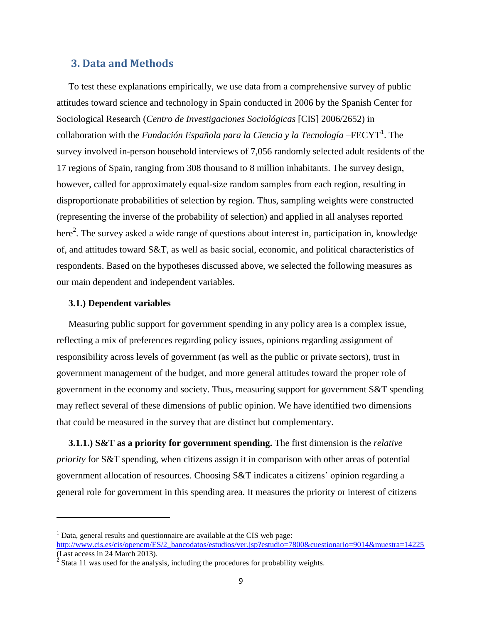# **3. Data and Methods**

To test these explanations empirically, we use data from a comprehensive survey of public attitudes toward science and technology in Spain conducted in 2006 by the Spanish Center for Sociological Research (*Centro de Investigaciones Sociológicas* [CIS] 2006/2652) in collaboration with the *Fundación Española para la Ciencia y la Tecnología* – FECYT<sup>1</sup>. The survey involved in-person household interviews of 7,056 randomly selected adult residents of the 17 regions of Spain, ranging from 308 thousand to 8 million inhabitants. The survey design, however, called for approximately equal-size random samples from each region, resulting in disproportionate probabilities of selection by region. Thus, sampling weights were constructed (representing the inverse of the probability of selection) and applied in all analyses reported here<sup>2</sup>. The survey asked a wide range of questions about interest in, participation in, knowledge of, and attitudes toward S&T, as well as basic social, economic, and political characteristics of respondents. Based on the hypotheses discussed above, we selected the following measures as our main dependent and independent variables.

## **3.1.) Dependent variables**

 $\overline{a}$ 

Measuring public support for government spending in any policy area is a complex issue, reflecting a mix of preferences regarding policy issues, opinions regarding assignment of responsibility across levels of government (as well as the public or private sectors), trust in government management of the budget, and more general attitudes toward the proper role of government in the economy and society. Thus, measuring support for government S&T spending may reflect several of these dimensions of public opinion. We have identified two dimensions that could be measured in the survey that are distinct but complementary.

**3.1.1.) S&T as a priority for government spending.** The first dimension is the *relative priority* for S&T spending, when citizens assign it in comparison with other areas of potential government allocation of resources. Choosing S&T indicates a citizens' opinion regarding a general role for government in this spending area. It measures the priority or interest of citizens

 $<sup>1</sup>$  Data, general results and questionnaire are available at the CIS web page:</sup>

[http://www.cis.es/cis/opencm/ES/2\\_bancodatos/estudios/ver.jsp?estudio=7800&cuestionario=9014&muestra=14225](http://www.cis.es/cis/opencm/ES/2_bancodatos/estudios/ver.jsp?estudio=7800&cuestionario=9014&muestra=14225) (Last access in 24 March 2013).

 $2^{2}$  Stata 11 was used for the analysis, including the procedures for probability weights.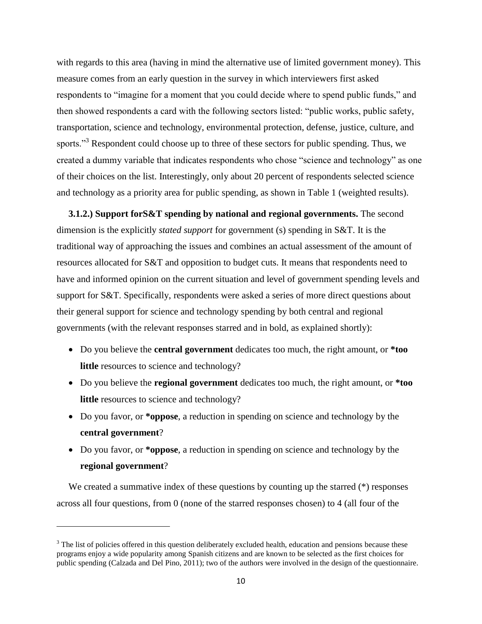with regards to this area (having in mind the alternative use of limited government money). This measure comes from an early question in the survey in which interviewers first asked respondents to "imagine for a moment that you could decide where to spend public funds," and then showed respondents a card with the following sectors listed: "public works, public safety, transportation, science and technology, environmental protection, defense, justice, culture, and sports."<sup>3</sup> Respondent could choose up to three of these sectors for public spending. Thus, we created a dummy variable that indicates respondents who chose "science and technology" as one of their choices on the list. Interestingly, only about 20 percent of respondents selected science and technology as a priority area for public spending, as shown in Table 1 (weighted results).

**3.1.2.) Support forS&T spending by national and regional governments.** The second dimension is the explicitly *stated support* for government (s) spending in S&T. It is the traditional way of approaching the issues and combines an actual assessment of the amount of resources allocated for S&T and opposition to budget cuts. It means that respondents need to have and informed opinion on the current situation and level of government spending levels and support for S&T. Specifically, respondents were asked a series of more direct questions about their general support for science and technology spending by both central and regional governments (with the relevant responses starred and in bold, as explained shortly):

- Do you believe the **central government** dedicates too much, the right amount, or **\*too little** resources to science and technology?
- Do you believe the **regional government** dedicates too much, the right amount, or **\*too little** resources to science and technology?
- Do you favor, or **\*oppose**, a reduction in spending on science and technology by the **central government**?
- Do you favor, or **\*oppose**, a reduction in spending on science and technology by the **regional government**?

We created a summative index of these questions by counting up the starred  $(*)$  responses across all four questions, from 0 (none of the starred responses chosen) to 4 (all four of the

 $\overline{\phantom{a}}$ 

<sup>&</sup>lt;sup>3</sup> The list of policies offered in this question deliberately excluded health, education and pensions because these programs enjoy a wide popularity among Spanish citizens and are known to be selected as the first choices for public spending (Calzada and Del Pino, 2011); two of the authors were involved in the design of the questionnaire.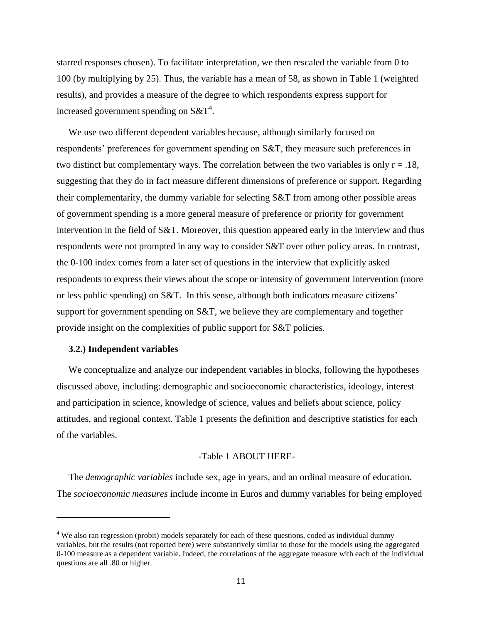starred responses chosen). To facilitate interpretation, we then rescaled the variable from 0 to 100 (by multiplying by 25). Thus, the variable has a mean of 58, as shown in Table 1 (weighted results), and provides a measure of the degree to which respondents express support for increased government spending on  $S\&T^4$ .

We use two different dependent variables because, although similarly focused on respondents' preferences for government spending on S&T, they measure such preferences in two distinct but complementary ways. The correlation between the two variables is only  $r = .18$ , suggesting that they do in fact measure different dimensions of preference or support. Regarding their complementarity, the dummy variable for selecting S&T from among other possible areas of government spending is a more general measure of preference or priority for government intervention in the field of S&T. Moreover, this question appeared early in the interview and thus respondents were not prompted in any way to consider S&T over other policy areas. In contrast, the 0-100 index comes from a later set of questions in the interview that explicitly asked respondents to express their views about the scope or intensity of government intervention (more or less public spending) on S&T. In this sense, although both indicators measure citizens' support for government spending on S&T, we believe they are complementary and together provide insight on the complexities of public support for S&T policies.

#### **3.2.) Independent variables**

 $\overline{a}$ 

We conceptualize and analyze our independent variables in blocks, following the hypotheses discussed above, including: demographic and socioeconomic characteristics, ideology, interest and participation in science, knowledge of science, values and beliefs about science, policy attitudes, and regional context. Table 1 presents the definition and descriptive statistics for each of the variables.

## -Table 1 ABOUT HERE-

The *demographic variables* include sex, age in years, and an ordinal measure of education. The *socioeconomic measures* include income in Euros and dummy variables for being employed

<sup>&</sup>lt;sup>4</sup> We also ran regression (probit) models separately for each of these questions, coded as individual dummy variables, but the results (not reported here) were substantively similar to those for the models using the aggregated 0-100 measure as a dependent variable. Indeed, the correlations of the aggregate measure with each of the individual questions are all .80 or higher.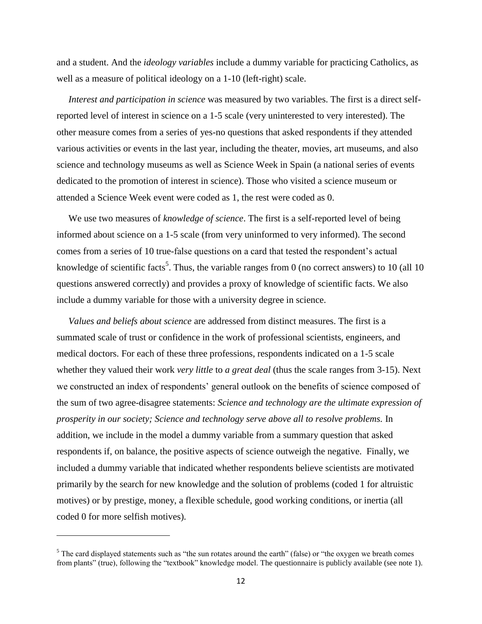and a student. And the *ideology variables* include a dummy variable for practicing Catholics, as well as a measure of political ideology on a 1-10 (left-right) scale.

*Interest and participation in science* was measured by two variables. The first is a direct selfreported level of interest in science on a 1-5 scale (very uninterested to very interested). The other measure comes from a series of yes-no questions that asked respondents if they attended various activities or events in the last year, including the theater, movies, art museums, and also science and technology museums as well as Science Week in Spain (a national series of events dedicated to the promotion of interest in science). Those who visited a science museum or attended a Science Week event were coded as 1, the rest were coded as 0.

We use two measures of *knowledge of science*. The first is a self-reported level of being informed about science on a 1-5 scale (from very uninformed to very informed). The second comes from a series of 10 true-false questions on a card that tested the respondent's actual knowledge of scientific facts<sup>5</sup>. Thus, the variable ranges from 0 (no correct answers) to 10 (all 10 questions answered correctly) and provides a proxy of knowledge of scientific facts. We also include a dummy variable for those with a university degree in science.

*Values and beliefs about science* are addressed from distinct measures. The first is a summated scale of trust or confidence in the work of professional scientists, engineers, and medical doctors. For each of these three professions, respondents indicated on a 1-5 scale whether they valued their work *very little* to *a great deal* (thus the scale ranges from 3-15). Next we constructed an index of respondents' general outlook on the benefits of science composed of the sum of two agree-disagree statements: *Science and technology are the ultimate expression of prosperity in our society; Science and technology serve above all to resolve problems.* In addition, we include in the model a dummy variable from a summary question that asked respondents if, on balance, the positive aspects of science outweigh the negative. Finally, we included a dummy variable that indicated whether respondents believe scientists are motivated primarily by the search for new knowledge and the solution of problems (coded 1 for altruistic motives) or by prestige, money, a flexible schedule, good working conditions, or inertia (all coded 0 for more selfish motives).

 $\overline{a}$ 

<sup>&</sup>lt;sup>5</sup> The card displayed statements such as "the sun rotates around the earth" (false) or "the oxygen we breath comes from plants" (true), following the "textbook" knowledge model. The questionnaire is publicly available (see note 1).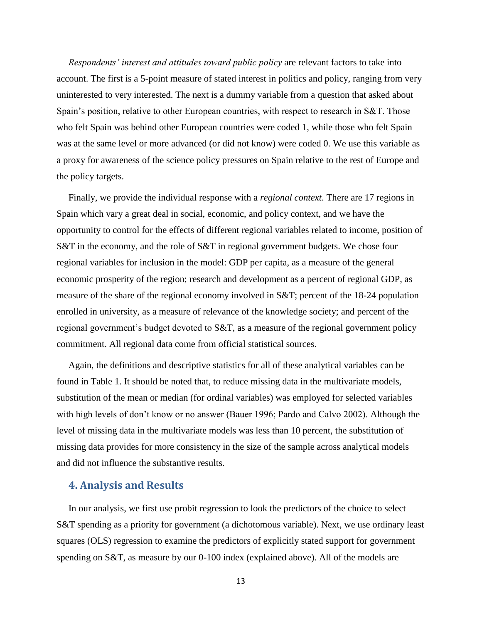*Respondents' interest and attitudes toward public policy* are relevant factors to take into account. The first is a 5-point measure of stated interest in politics and policy, ranging from very uninterested to very interested. The next is a dummy variable from a question that asked about Spain's position, relative to other European countries, with respect to research in S&T. Those who felt Spain was behind other European countries were coded 1, while those who felt Spain was at the same level or more advanced (or did not know) were coded 0. We use this variable as a proxy for awareness of the science policy pressures on Spain relative to the rest of Europe and the policy targets.

Finally, we provide the individual response with a *regional context*. There are 17 regions in Spain which vary a great deal in social, economic, and policy context, and we have the opportunity to control for the effects of different regional variables related to income, position of S&T in the economy, and the role of S&T in regional government budgets. We chose four regional variables for inclusion in the model: GDP per capita, as a measure of the general economic prosperity of the region; research and development as a percent of regional GDP, as measure of the share of the regional economy involved in S&T; percent of the 18-24 population enrolled in university, as a measure of relevance of the knowledge society; and percent of the regional government's budget devoted to S&T, as a measure of the regional government policy commitment. All regional data come from official statistical sources.

Again, the definitions and descriptive statistics for all of these analytical variables can be found in Table 1. It should be noted that, to reduce missing data in the multivariate models, substitution of the mean or median (for ordinal variables) was employed for selected variables with high levels of don't know or no answer (Bauer 1996; Pardo and Calvo 2002). Although the level of missing data in the multivariate models was less than 10 percent, the substitution of missing data provides for more consistency in the size of the sample across analytical models and did not influence the substantive results.

# **4. Analysis and Results**

In our analysis, we first use probit regression to look the predictors of the choice to select S&T spending as a priority for government (a dichotomous variable). Next, we use ordinary least squares (OLS) regression to examine the predictors of explicitly stated support for government spending on S&T, as measure by our 0-100 index (explained above). All of the models are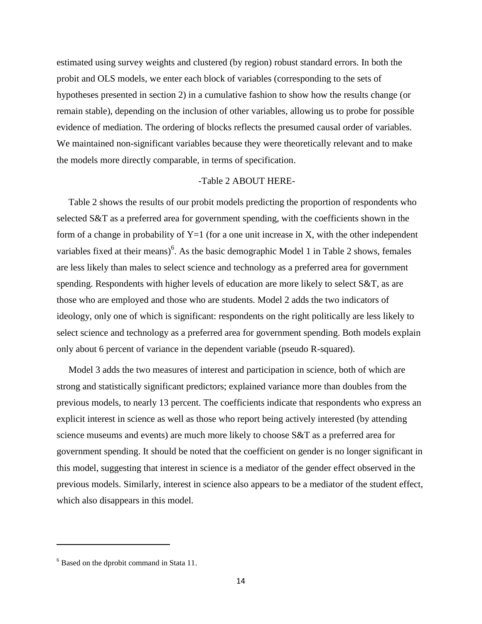estimated using survey weights and clustered (by region) robust standard errors. In both the probit and OLS models, we enter each block of variables (corresponding to the sets of hypotheses presented in section 2) in a cumulative fashion to show how the results change (or remain stable), depending on the inclusion of other variables, allowing us to probe for possible evidence of mediation. The ordering of blocks reflects the presumed causal order of variables. We maintained non-significant variables because they were theoretically relevant and to make the models more directly comparable, in terms of specification.

## -Table 2 ABOUT HERE-

Table 2 shows the results of our probit models predicting the proportion of respondents who selected S&T as a preferred area for government spending, with the coefficients shown in the form of a change in probability of  $Y=1$  (for a one unit increase in X, with the other independent variables fixed at their means)<sup>6</sup>. As the basic demographic Model 1 in Table 2 shows, females are less likely than males to select science and technology as a preferred area for government spending. Respondents with higher levels of education are more likely to select S&T, as are those who are employed and those who are students. Model 2 adds the two indicators of ideology, only one of which is significant: respondents on the right politically are less likely to select science and technology as a preferred area for government spending. Both models explain only about 6 percent of variance in the dependent variable (pseudo R-squared).

Model 3 adds the two measures of interest and participation in science, both of which are strong and statistically significant predictors; explained variance more than doubles from the previous models, to nearly 13 percent. The coefficients indicate that respondents who express an explicit interest in science as well as those who report being actively interested (by attending science museums and events) are much more likely to choose S&T as a preferred area for government spending. It should be noted that the coefficient on gender is no longer significant in this model, suggesting that interest in science is a mediator of the gender effect observed in the previous models. Similarly, interest in science also appears to be a mediator of the student effect, which also disappears in this model.

 $\overline{\phantom{a}}$ 

 $<sup>6</sup>$  Based on the dprobit command in Stata 11.</sup>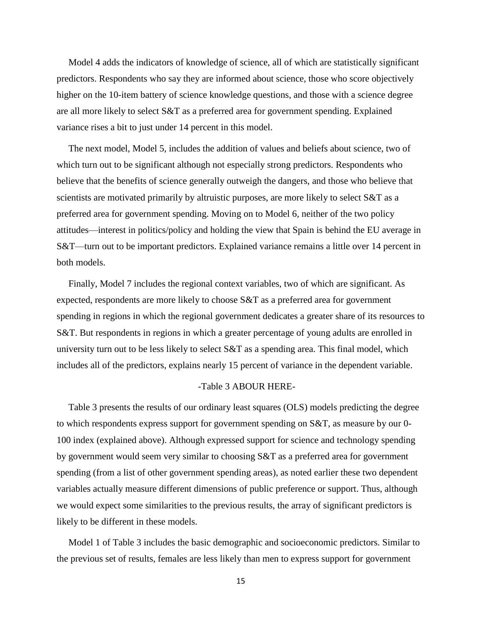Model 4 adds the indicators of knowledge of science, all of which are statistically significant predictors. Respondents who say they are informed about science, those who score objectively higher on the 10-item battery of science knowledge questions, and those with a science degree are all more likely to select S&T as a preferred area for government spending. Explained variance rises a bit to just under 14 percent in this model.

The next model, Model 5, includes the addition of values and beliefs about science, two of which turn out to be significant although not especially strong predictors. Respondents who believe that the benefits of science generally outweigh the dangers, and those who believe that scientists are motivated primarily by altruistic purposes, are more likely to select S&T as a preferred area for government spending. Moving on to Model 6, neither of the two policy attitudes—interest in politics/policy and holding the view that Spain is behind the EU average in S&T—turn out to be important predictors. Explained variance remains a little over 14 percent in both models.

Finally, Model 7 includes the regional context variables, two of which are significant. As expected, respondents are more likely to choose S&T as a preferred area for government spending in regions in which the regional government dedicates a greater share of its resources to S&T. But respondents in regions in which a greater percentage of young adults are enrolled in university turn out to be less likely to select S&T as a spending area. This final model, which includes all of the predictors, explains nearly 15 percent of variance in the dependent variable.

#### -Table 3 ABOUR HERE-

Table 3 presents the results of our ordinary least squares (OLS) models predicting the degree to which respondents express support for government spending on S&T, as measure by our 0- 100 index (explained above). Although expressed support for science and technology spending by government would seem very similar to choosing S&T as a preferred area for government spending (from a list of other government spending areas), as noted earlier these two dependent variables actually measure different dimensions of public preference or support. Thus, although we would expect some similarities to the previous results, the array of significant predictors is likely to be different in these models.

Model 1 of Table 3 includes the basic demographic and socioeconomic predictors. Similar to the previous set of results, females are less likely than men to express support for government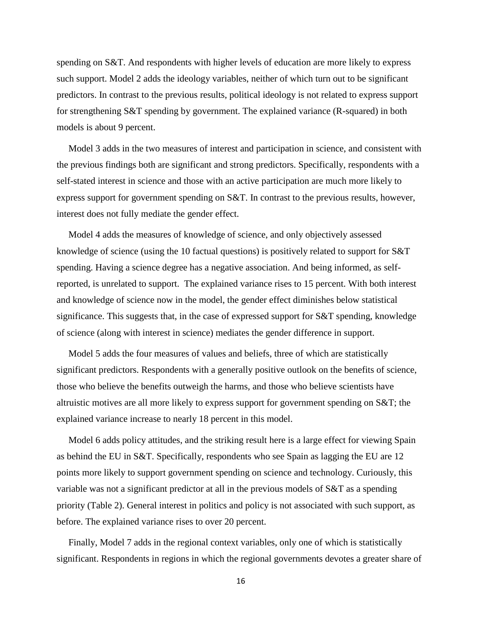spending on S&T. And respondents with higher levels of education are more likely to express such support. Model 2 adds the ideology variables, neither of which turn out to be significant predictors. In contrast to the previous results, political ideology is not related to express support for strengthening S&T spending by government. The explained variance (R-squared) in both models is about 9 percent.

Model 3 adds in the two measures of interest and participation in science, and consistent with the previous findings both are significant and strong predictors. Specifically, respondents with a self-stated interest in science and those with an active participation are much more likely to express support for government spending on S&T. In contrast to the previous results, however, interest does not fully mediate the gender effect.

Model 4 adds the measures of knowledge of science, and only objectively assessed knowledge of science (using the 10 factual questions) is positively related to support for S&T spending. Having a science degree has a negative association. And being informed, as selfreported, is unrelated to support. The explained variance rises to 15 percent. With both interest and knowledge of science now in the model, the gender effect diminishes below statistical significance. This suggests that, in the case of expressed support for S&T spending, knowledge of science (along with interest in science) mediates the gender difference in support.

Model 5 adds the four measures of values and beliefs, three of which are statistically significant predictors. Respondents with a generally positive outlook on the benefits of science, those who believe the benefits outweigh the harms, and those who believe scientists have altruistic motives are all more likely to express support for government spending on S&T; the explained variance increase to nearly 18 percent in this model.

Model 6 adds policy attitudes, and the striking result here is a large effect for viewing Spain as behind the EU in S&T. Specifically, respondents who see Spain as lagging the EU are 12 points more likely to support government spending on science and technology. Curiously, this variable was not a significant predictor at all in the previous models of S&T as a spending priority (Table 2). General interest in politics and policy is not associated with such support, as before. The explained variance rises to over 20 percent.

Finally, Model 7 adds in the regional context variables, only one of which is statistically significant. Respondents in regions in which the regional governments devotes a greater share of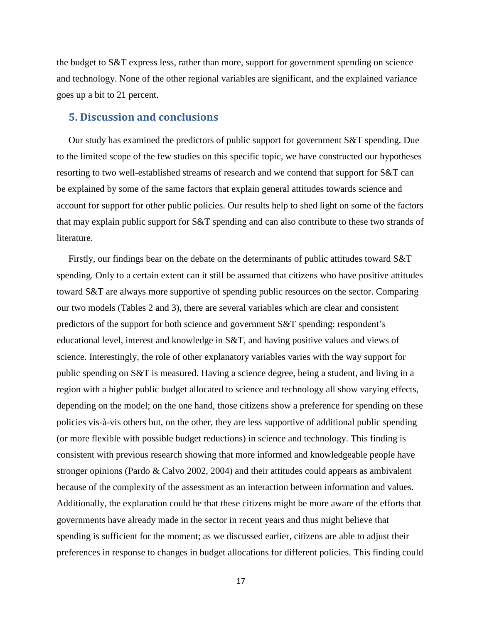the budget to S&T express less, rather than more, support for government spending on science and technology. None of the other regional variables are significant, and the explained variance goes up a bit to 21 percent.

# **5. Discussion and conclusions**

Our study has examined the predictors of public support for government S&T spending. Due to the limited scope of the few studies on this specific topic, we have constructed our hypotheses resorting to two well-established streams of research and we contend that support for S&T can be explained by some of the same factors that explain general attitudes towards science and account for support for other public policies. Our results help to shed light on some of the factors that may explain public support for S&T spending and can also contribute to these two strands of literature.

Firstly, our findings bear on the debate on the determinants of public attitudes toward S&T spending. Only to a certain extent can it still be assumed that citizens who have positive attitudes toward S&T are always more supportive of spending public resources on the sector. Comparing our two models (Tables 2 and 3), there are several variables which are clear and consistent predictors of the support for both science and government S&T spending: respondent's educational level, interest and knowledge in S&T, and having positive values and views of science. Interestingly, the role of other explanatory variables varies with the way support for public spending on S&T is measured. Having a science degree, being a student, and living in a region with a higher public budget allocated to science and technology all show varying effects, depending on the model; on the one hand, those citizens show a preference for spending on these policies vis-à-vis others but, on the other, they are less supportive of additional public spending (or more flexible with possible budget reductions) in science and technology. This finding is consistent with previous research showing that more informed and knowledgeable people have stronger opinions (Pardo & Calvo 2002, 2004) and their attitudes could appears as ambivalent because of the complexity of the assessment as an interaction between information and values. Additionally, the explanation could be that these citizens might be more aware of the efforts that governments have already made in the sector in recent years and thus might believe that spending is sufficient for the moment; as we discussed earlier, citizens are able to adjust their preferences in response to changes in budget allocations for different policies. This finding could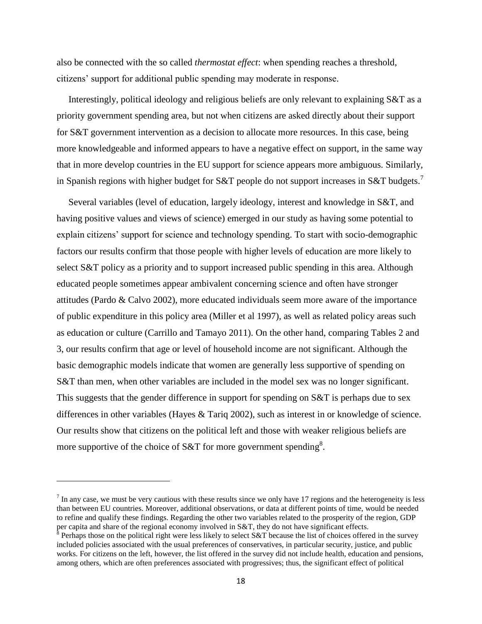also be connected with the so called *thermostat effect*: when spending reaches a threshold, citizens' support for additional public spending may moderate in response.

Interestingly, political ideology and religious beliefs are only relevant to explaining S&T as a priority government spending area, but not when citizens are asked directly about their support for S&T government intervention as a decision to allocate more resources. In this case, being more knowledgeable and informed appears to have a negative effect on support, in the same way that in more develop countries in the EU support for science appears more ambiguous. Similarly, in Spanish regions with higher budget for S&T people do not support increases in S&T budgets.<sup>7</sup>

Several variables (level of education, largely ideology, interest and knowledge in S&T, and having positive values and views of science) emerged in our study as having some potential to explain citizens' support for science and technology spending. To start with socio-demographic factors our results confirm that those people with higher levels of education are more likely to select S&T policy as a priority and to support increased public spending in this area. Although educated people sometimes appear ambivalent concerning science and often have stronger attitudes (Pardo & Calvo 2002), more educated individuals seem more aware of the importance of public expenditure in this policy area (Miller et al 1997), as well as related policy areas such as education or culture (Carrillo and Tamayo 2011). On the other hand, comparing Tables 2 and 3, our results confirm that age or level of household income are not significant. Although the basic demographic models indicate that women are generally less supportive of spending on S&T than men, when other variables are included in the model sex was no longer significant. This suggests that the gender difference in support for spending on S&T is perhaps due to sex differences in other variables (Hayes & Tariq 2002), such as interest in or knowledge of science. Our results show that citizens on the political left and those with weaker religious beliefs are more supportive of the choice of S&T for more government spending<sup>8</sup>.

 $\overline{a}$ 

 $<sup>7</sup>$  In any case, we must be very cautious with these results since we only have 17 regions and the heterogeneity is less</sup> than between EU countries. Moreover, additional observations, or data at different points of time, would be needed to refine and qualify these findings. Regarding the other two variables related to the prosperity of the region, GDP per capita and share of the regional economy involved in S&T, they do not have significant effects.<br><sup>8</sup> Perhaps those on the political right were less likely to select S&T because the list of choices offered in the survey

included policies associated with the usual preferences of conservatives, in particular security, justice, and public works. For citizens on the left, however, the list offered in the survey did not include health, education and pensions, among others, which are often preferences associated with progressives; thus, the significant effect of political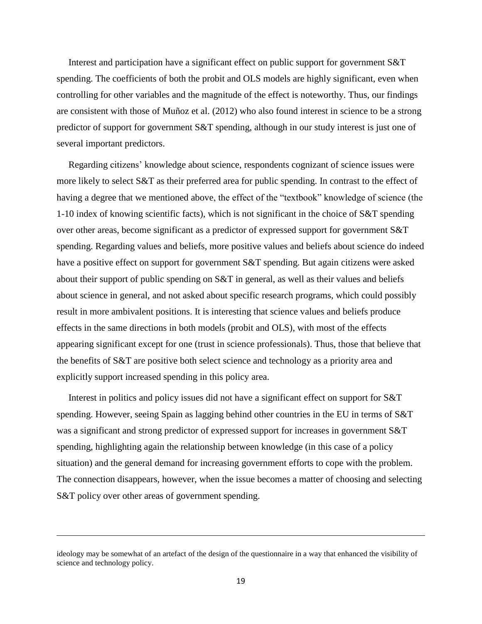Interest and participation have a significant effect on public support for government S&T spending. The coefficients of both the probit and OLS models are highly significant, even when controlling for other variables and the magnitude of the effect is noteworthy. Thus, our findings are consistent with those of Muñoz et al. (2012) who also found interest in science to be a strong predictor of support for government S&T spending, although in our study interest is just one of several important predictors.

Regarding citizens' knowledge about science, respondents cognizant of science issues were more likely to select S&T as their preferred area for public spending. In contrast to the effect of having a degree that we mentioned above, the effect of the "textbook" knowledge of science (the 1-10 index of knowing scientific facts), which is not significant in the choice of S&T spending over other areas, become significant as a predictor of expressed support for government S&T spending. Regarding values and beliefs, more positive values and beliefs about science do indeed have a positive effect on support for government S&T spending. But again citizens were asked about their support of public spending on S&T in general, as well as their values and beliefs about science in general, and not asked about specific research programs, which could possibly result in more ambivalent positions. It is interesting that science values and beliefs produce effects in the same directions in both models (probit and OLS), with most of the effects appearing significant except for one (trust in science professionals). Thus, those that believe that the benefits of S&T are positive both select science and technology as a priority area and explicitly support increased spending in this policy area.

Interest in politics and policy issues did not have a significant effect on support for S&T spending. However, seeing Spain as lagging behind other countries in the EU in terms of S&T was a significant and strong predictor of expressed support for increases in government S&T spending, highlighting again the relationship between knowledge (in this case of a policy situation) and the general demand for increasing government efforts to cope with the problem. The connection disappears, however, when the issue becomes a matter of choosing and selecting S&T policy over other areas of government spending.

 $\overline{a}$ 

ideology may be somewhat of an artefact of the design of the questionnaire in a way that enhanced the visibility of science and technology policy.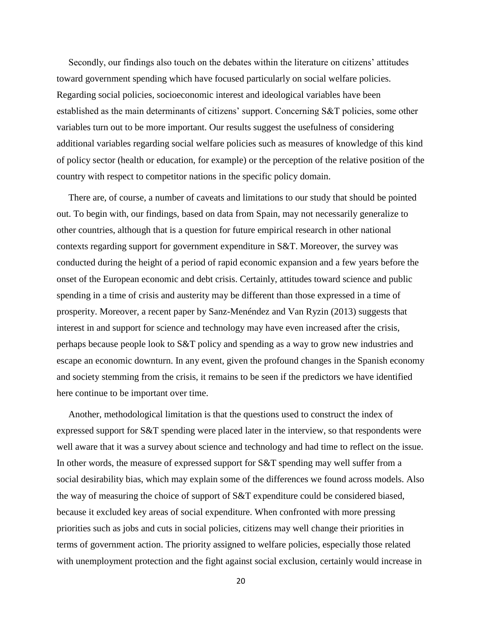Secondly, our findings also touch on the debates within the literature on citizens' attitudes toward government spending which have focused particularly on social welfare policies. Regarding social policies, socioeconomic interest and ideological variables have been established as the main determinants of citizens' support. Concerning S&T policies, some other variables turn out to be more important. Our results suggest the usefulness of considering additional variables regarding social welfare policies such as measures of knowledge of this kind of policy sector (health or education, for example) or the perception of the relative position of the country with respect to competitor nations in the specific policy domain.

There are, of course, a number of caveats and limitations to our study that should be pointed out. To begin with, our findings, based on data from Spain, may not necessarily generalize to other countries, although that is a question for future empirical research in other national contexts regarding support for government expenditure in S&T. Moreover, the survey was conducted during the height of a period of rapid economic expansion and a few years before the onset of the European economic and debt crisis. Certainly, attitudes toward science and public spending in a time of crisis and austerity may be different than those expressed in a time of prosperity. Moreover, a recent paper by Sanz-Menéndez and Van Ryzin (2013) suggests that interest in and support for science and technology may have even increased after the crisis, perhaps because people look to S&T policy and spending as a way to grow new industries and escape an economic downturn. In any event, given the profound changes in the Spanish economy and society stemming from the crisis, it remains to be seen if the predictors we have identified here continue to be important over time.

Another, methodological limitation is that the questions used to construct the index of expressed support for S&T spending were placed later in the interview, so that respondents were well aware that it was a survey about science and technology and had time to reflect on the issue. In other words, the measure of expressed support for S&T spending may well suffer from a social desirability bias, which may explain some of the differences we found across models. Also the way of measuring the choice of support of S&T expenditure could be considered biased, because it excluded key areas of social expenditure. When confronted with more pressing priorities such as jobs and cuts in social policies, citizens may well change their priorities in terms of government action. The priority assigned to welfare policies, especially those related with unemployment protection and the fight against social exclusion, certainly would increase in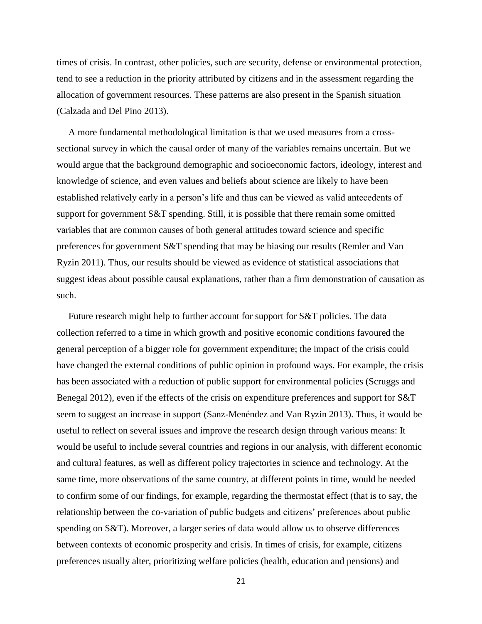times of crisis. In contrast, other policies, such are security, defense or environmental protection, tend to see a reduction in the priority attributed by citizens and in the assessment regarding the allocation of government resources. These patterns are also present in the Spanish situation (Calzada and Del Pino 2013).

A more fundamental methodological limitation is that we used measures from a crosssectional survey in which the causal order of many of the variables remains uncertain. But we would argue that the background demographic and socioeconomic factors, ideology, interest and knowledge of science, and even values and beliefs about science are likely to have been established relatively early in a person's life and thus can be viewed as valid antecedents of support for government S&T spending. Still, it is possible that there remain some omitted variables that are common causes of both general attitudes toward science and specific preferences for government S&T spending that may be biasing our results (Remler and Van Ryzin 2011). Thus, our results should be viewed as evidence of statistical associations that suggest ideas about possible causal explanations, rather than a firm demonstration of causation as such.

Future research might help to further account for support for S&T policies. The data collection referred to a time in which growth and positive economic conditions favoured the general perception of a bigger role for government expenditure; the impact of the crisis could have changed the external conditions of public opinion in profound ways. For example, the crisis has been associated with a reduction of public support for environmental policies (Scruggs and Benegal 2012), even if the effects of the crisis on expenditure preferences and support for S&T seem to suggest an increase in support (Sanz-Menéndez and Van Ryzin 2013). Thus, it would be useful to reflect on several issues and improve the research design through various means: It would be useful to include several countries and regions in our analysis, with different economic and cultural features, as well as different policy trajectories in science and technology. At the same time, more observations of the same country, at different points in time, would be needed to confirm some of our findings, for example, regarding the thermostat effect (that is to say, the relationship between the co-variation of public budgets and citizens' preferences about public spending on S&T). Moreover, a larger series of data would allow us to observe differences between contexts of economic prosperity and crisis. In times of crisis, for example, citizens preferences usually alter, prioritizing welfare policies (health, education and pensions) and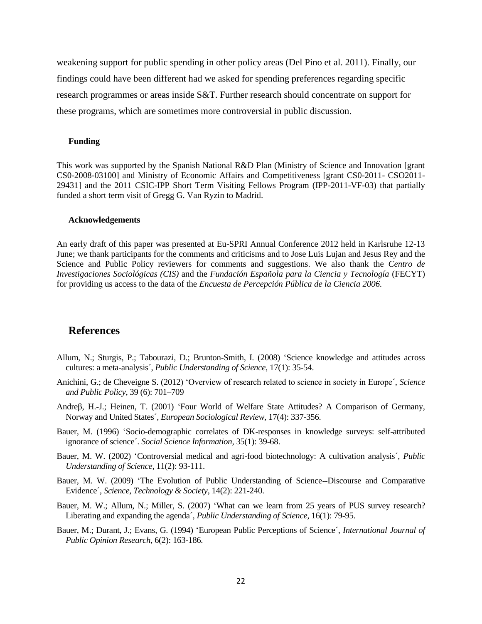weakening support for public spending in other policy areas (Del Pino et al. 2011). Finally, our findings could have been different had we asked for spending preferences regarding specific research programmes or areas inside S&T. Further research should concentrate on support for these programs, which are sometimes more controversial in public discussion.

#### **Funding**

This work was supported by the Spanish National R&D Plan (Ministry of Science and Innovation [grant CS0-2008-03100] and Ministry of Economic Affairs and Competitiveness [grant CS0-2011- CSO2011- 29431] and the 2011 CSIC-IPP Short Term Visiting Fellows Program (IPP-2011-VF-03) that partially funded a short term visit of Gregg G. Van Ryzin to Madrid.

#### **Acknowledgements**

An early draft of this paper was presented at Eu-SPRI Annual Conference 2012 held in Karlsruhe 12-13 June; we thank participants for the comments and criticisms and to Jose Luis Lujan and Jesus Rey and the Science and Public Policy reviewers for comments and suggestions. We also thank the *Centro de Investigaciones Sociológicas (CIS)* and the *Fundación Española para la Ciencia y Tecnología* (FECYT) for providing us access to the data of the *Encuesta de Percepción Pública de la Ciencia 2006.*

## **References**

- Allum, N.; Sturgis, P.; Tabourazi, D.; Brunton-Smith, I. (2008) 'Science knowledge and attitudes across cultures: a meta-analysis´, *Public Understanding of Science,* 17(1): 35-54.
- Anichini, G.; de Cheveigne S. (2012) 'Overview of research related to science in society in Europe´, *Science and Public Policy*, 39 (6): 701–709
- Andreβ, H.-J.; Heinen, T. (2001) 'Four World of Welfare State Attitudes? A Comparison of Germany, Norway and United States´, *European Sociological Review,* 17(4): 337-356.
- Bauer, M. (1996) 'Socio-demographic correlates of DK-responses in knowledge surveys: self-attributed ignorance of science´. *Social Science Information,* 35(1): 39-68.
- Bauer, M. W. (2002) 'Controversial medical and agri-food biotechnology: A cultivation analysis´, *Public Understanding of Science,* 11(2): 93-111.
- Bauer, M. W. (2009) 'The Evolution of Public Understanding of Science--Discourse and Comparative Evidence´, *Science, Technology & Society*, 14(2): 221-240.
- Bauer, M. W.; Allum, N.; Miller, S. (2007) 'What can we learn from 25 years of PUS survey research? Liberating and expanding the agenda´, *Public Understanding of Science,* 16(1): 79-95.
- Bauer, M.; Durant, J.; Evans, G. (1994) 'European Public Perceptions of Science´, *International Journal of Public Opinion Research*, 6(2): 163-186.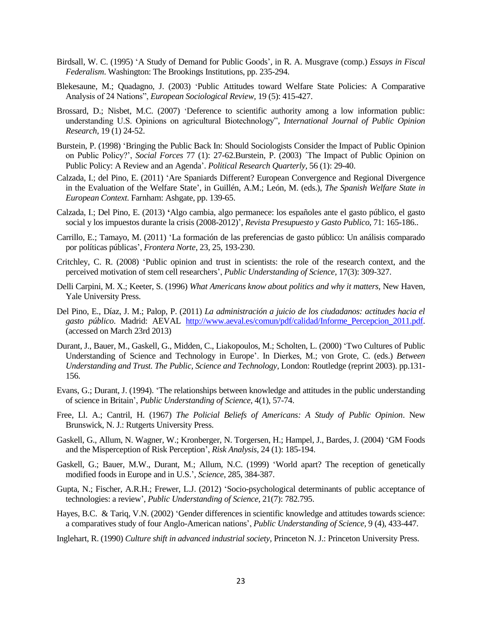- Birdsall, W. C. (1995) 'A Study of Demand for Public Goods', in R. A. Musgrave (comp.) *Essays in Fiscal Federalism*. Washington: The Brookings Institutions, pp. 235-294.
- Blekesaune, M.; Quadagno, J. (2003) 'Public Attitudes toward Welfare State Policies: A Comparative Analysis of 24 Nations", *European Sociological Review,* 19 (5): 415-427.
- Brossard, D.; Nisbet, M.C. (2007) 'Deference to scientific authority among a low information public: understanding U.S. Opinions on agricultural Biotechnology", *International Journal of Public Opinion Research,* 19 (1) 24-52.
- Burstein, P. (1998) 'Bringing the Public Back In: Should Sociologists Consider the Impact of Public Opinion on Public Policy?', *Social Forces* 77 (1): 27-62.Burstein, P. (2003) ´The Impact of Public Opinion on Public Policy: A Review and an Agenda'. *Political Research Quarterly*, 56 (1): 29-40.
- Calzada, I.; del Pino, E. (2011) 'Are Spaniards Different? European Convergence and Regional Divergence in the Evaluation of the Welfare State', in Guillén, A.M.; León, M. (eds.), *The Spanish Welfare State in European Context*. Farnham: Ashgate, pp. 139-65.
- Calzada, I.; Del Pino, E. (2013) **'**Algo cambia, algo permanece: los españoles ante el gasto público, el gasto social y los impuestos durante la crisis (2008-2012)', *Revista Presupuesto y Gasto Publico*, 71: 165-186..
- Carrillo, E.; Tamayo, M. (2011) 'La formación de las preferencias de gasto público: Un análisis comparado por políticas públicas', *Frontera Norte*, 23, 25, 193-230.
- Critchley, C. R. (2008) 'Public opinion and trust in scientists: the role of the research context, and the perceived motivation of stem cell researchers', *Public Understanding of Science*, 17(3): 309-327.
- Delli Carpini, M. X.; Keeter, S. (1996) *What Americans know about politics and why it matters,* New Haven, Yale University Press.
- Del Pino, E., Díaz, J. M.; Palop, P. (2011) *La administración a juicio de los ciudadanos: actitudes hacia el gasto público*. Madrid: AEVAL [http://www.aeval.es/comun/pdf/calidad/Informe\\_Percepcion\\_2011.pdf.](http://www.aeval.es/comun/pdf/calidad/Informe_Percepcion_2011.pdf) (accessed on March 23rd 2013)
- Durant, J., Bauer, M., Gaskell, G., Midden, C., Liakopoulos, M.; Scholten, L. (2000) 'Two Cultures of Public Understanding of Science and Technology in Europe'. In Dierkes, M.; von Grote, C. (eds.) *Between Understanding and Trust. The Public, Science and Technology*, London: Routledge (reprint 2003). pp.131- 156.
- Evans, G.; Durant, J. (1994). 'The relationships between knowledge and attitudes in the public understanding of science in Britain', *Public Understanding of Science*, 4(1), 57-74.
- Free, Ll. A.; Cantril, H. (1967) *The Policial Beliefs of Americans: A Study of Public Opinion*. New Brunswick, N. J.: Rutgerts University Press.
- Gaskell, G., Allum, N. Wagner, W.; Kronberger, N. Torgersen, H.; Hampel, J., Bardes, J. (2004) 'GM Foods and the Misperception of Risk Perception', *Risk Analysis*, 24 (1): 185-194.
- Gaskell, G.; Bauer, M.W., Durant, M.; Allum, N.C. (1999) 'World apart? The reception of genetically modified foods in Europe and in U.S.', *Science*, 285, 384-387.
- Gupta, N.; Fischer, A.R.H.; Frewer, L.J. (2012) 'Socio-psychological determinants of public acceptance of technologies: a review', *Public Understanding of Science,* 21(7): 782.795.
- Hayes, B.C. & Tariq, V.N. (2002) 'Gender differences in scientific knowledge and attitudes towards science: a comparatives study of four Anglo-American nations', *Public Understanding of Science,* 9 (4), 433-447.
- Inglehart, R. (1990) *Culture shift in advanced industrial society,* Princeton N. J.: Princeton University Press.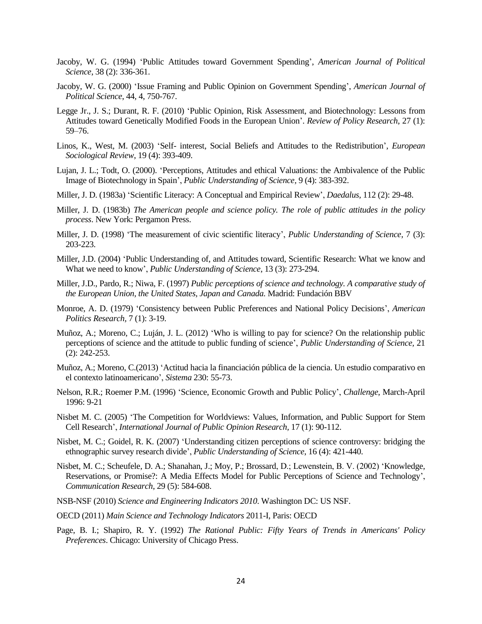- Jacoby, W. G. (1994) 'Public Attitudes toward Government Spending', *American Journal of Political Science*, 38 (2): 336-361.
- Jacoby, W. G. (2000) 'Issue Framing and Public Opinion on Government Spending', *American Journal of Political Science*, 44, 4, 750-767.
- Legge Jr., J. S.; Durant, R. F. (2010) 'Public Opinion, Risk Assessment, and Biotechnology: Lessons from Attitudes toward Genetically Modified Foods in the European Union'. *Review of Policy Research*, 27 (1): 59–76.
- Linos, K., West, M. (2003) 'Self- interest, Social Beliefs and Attitudes to the Redistribution', *European Sociological Review*, 19 (4): 393-409.
- Lujan, J. L.; Todt, O. (2000). 'Perceptions, Attitudes and ethical Valuations: the Ambivalence of the Public Image of Biotechnology in Spain', *Public Understanding of Science,* 9 (4): 383-392.
- Miller, J. D. (1983a) 'Scientific Literacy: A Conceptual and Empirical Review', *Daedalus,* 112 (2): 29-48.
- Miller, J. D. (1983b) *The American people and science policy. The role of public attitudes in the policy process*. New York: Pergamon Press.
- Miller, J. D. (1998) 'The measurement of civic scientific literacy', *Public Understanding of Science*, 7 (3): 203-223.
- Miller, J.D. (2004) 'Public Understanding of, and Attitudes toward, Scientific Research: What we know and What we need to know', *Public Understanding of Science*, 13 (3): 273-294.
- Miller, J.D., Pardo, R.; Niwa, F. (1997) *Public perceptions of science and technology. A comparative study of the European Union, the United States, Japan and Canada.* Madrid: Fundación BBV
- Monroe, A. D. (1979) 'Consistency between Public Preferences and National Policy Decisions', *American Politics Research,* 7 (1): 3-19.
- Muñoz, A.; Moreno, C.; Luján, J. L. (2012) 'Who is willing to pay for science? On the relationship public perceptions of science and the attitude to public funding of science', *Public Understanding of Science,* 21 (2): 242-253.
- Muñoz, A.; Moreno, C.(2013) 'Actitud hacia la financiación pública de la ciencia. Un estudio comparativo en el contexto latinoamericano', *Sistema* 230: 55-73.
- Nelson, R.R.; Roemer P.M. (1996) 'Science, Economic Growth and Public Policy', *Challenge*, March-April 1996: 9-21
- Nisbet M. C. (2005) 'The Competition for Worldviews: Values, Information, and Public Support for Stem Cell Research', *International Journal of Public Opinion Research,* 17 (1): 90-112.
- Nisbet, M. C.; Goidel, R. K. (2007) 'Understanding citizen perceptions of science controversy: bridging the ethnographic survey research divide', *Public Understanding of Science*, 16 (4): 421-440.
- Nisbet, M. C.; Scheufele, D. A.; Shanahan, J.; Moy, P.; Brossard, D.; Lewenstein, B. V. (2002) 'Knowledge, Reservations, or Promise?: A Media Effects Model for Public Perceptions of Science and Technology', *Communication Research*, 29 (5): 584-608.
- NSB-NSF (2010) *Science and Engineering Indicators 2010*. Washington DC: US NSF.
- OECD (2011) *Main Science and Technology Indicators* 2011-I, Paris: OECD
- Page, B. I.; Shapiro, R. Y. (1992) *The Rational Public: Fifty Years of Trends in Americans' Policy Preferences*. Chicago: University of Chicago Press.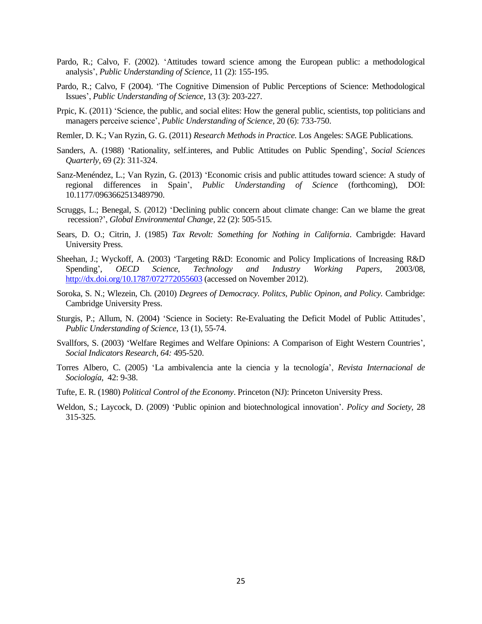- Pardo, R.; Calvo, F. (2002). 'Attitudes toward science among the European public: a methodological analysis', *Public Understanding of Science*, 11 (2): 155-195.
- Pardo, R.; Calvo, F (2004). 'The Cognitive Dimension of Public Perceptions of Science: Methodological Issues', *Public Understanding of Science*, 13 (3): 203-227.
- Prpic, K. (2011) 'Science, the public, and social elites: How the general public, scientists, top politicians and managers perceive science', *Public Understanding of Science,* 20 (6): 733-750.
- Remler, D. K.; Van Ryzin, G. G. (2011) *Research Methods in Practice.* Los Angeles: SAGE Publications.
- Sanders, A. (1988) 'Rationality, self.interes, and Public Attitudes on Public Spending', *Social Sciences Quarterly,* 69 (2): 311-324.
- Sanz-Menéndez, L.; Van Ryzin, G. (2013) 'Economic crisis and public attitudes toward science: A study of regional differences in Spain', *Public Understanding of Science* (forthcoming), DOI: 10.1177/0963662513489790.
- Scruggs, L.; Benegal, S. (2012) 'Declining public concern about climate change: Can we blame the great recession?', *Global Environmental Change,* 22 (2): 505-515.
- Sears, D. O.; Citrin, J. (1985) *Tax Revolt: Something for Nothing in California*. Cambrigde: Havard University Press.
- Sheehan, J.; Wyckoff, A. (2003) 'Targeting R&D: Economic and Policy Implications of Increasing R&D Spending', *OECD Science, Technology and Industry Working Papers*, 2003/08, <http://dx.doi.org/10.1787/072772055603> (accessed on November 2012).
- Soroka, S. N.; Wlezein, Ch. (2010) *Degrees of Democracy. Politcs, Public Opinon, and Policy.* Cambridge: Cambridge University Press.
- Sturgis, P.; Allum, N. (2004) 'Science in Society: Re-Evaluating the Deficit Model of Public Attitudes', *Public Understanding of Science*, 13 (1), 55-74.
- Svallfors, S. (2003) 'Welfare Regimes and Welfare Opinions: A Comparison of Eight Western Countries', *Social Indicators Research, 64:* 495-520.
- Torres Albero, C. (2005) 'La ambivalencia ante la ciencia y la tecnología', *Revista Internacional de Sociología,* 42: 9-38.
- Tufte, E. R. (1980) *Political Control of the Economy*. Princeton (NJ): Princeton University Press.
- Weldon, S.; Laycock, D. (2009) 'Public opinion and biotechnological innovation'. *Policy and Society,* 28 315-325.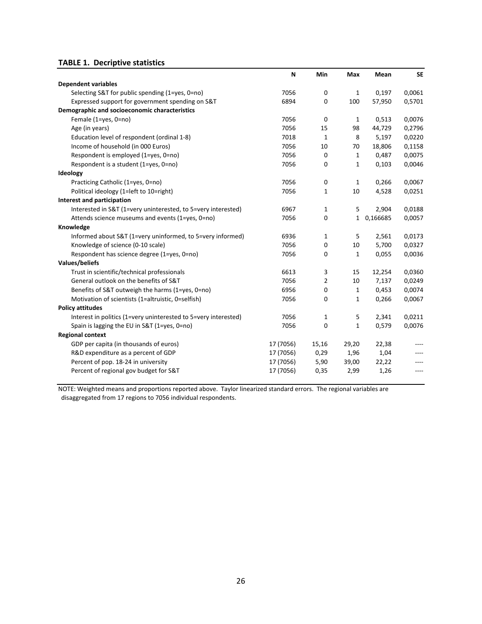## **TABLE 1. Decriptive statistics**

|                                                                 | N         | Min          | Max          | Mean     | <b>SE</b> |
|-----------------------------------------------------------------|-----------|--------------|--------------|----------|-----------|
| <b>Dependent variables</b>                                      |           |              |              |          |           |
| Selecting S&T for public spending (1=yes, 0=no)                 | 7056      | 0            | 1            | 0,197    | 0,0061    |
| Expressed support for government spending on S&T                | 6894      | 0            | 100          | 57,950   | 0,5701    |
| Demographic and socioeconomic characteristics                   |           |              |              |          |           |
| Female (1=yes, 0=no)                                            | 7056      | 0            | $\mathbf{1}$ | 0,513    | 0,0076    |
| Age (in years)                                                  | 7056      | 15           | 98           | 44,729   | 0,2796    |
| Education level of respondent (ordinal 1-8)                     | 7018      | $\mathbf{1}$ | 8            | 5,197    | 0,0220    |
| Income of household (in 000 Euros)                              | 7056      | 10           | 70           | 18,806   | 0,1158    |
| Respondent is employed (1=yes, 0=no)                            | 7056      | 0            | $\mathbf{1}$ | 0,487    | 0,0075    |
| Respondent is a student (1=yes, 0=no)                           | 7056      | 0            | $\mathbf{1}$ | 0,103    | 0,0046    |
| Ideology                                                        |           |              |              |          |           |
| Practicing Catholic (1=yes, 0=no)                               | 7056      | 0            | 1            | 0,266    | 0,0067    |
| Political ideology (1=left to 10=right)                         | 7056      | 1            | 10           | 4,528    | 0,0251    |
| Interest and participation                                      |           |              |              |          |           |
| Interested in S&T (1=very uninterested, to 5=very interested)   | 6967      | 1            | 5            | 2,904    | 0,0188    |
| Attends science museums and events (1=yes, 0=no)                | 7056      | 0            | $\mathbf{1}$ | 0,166685 | 0,0057    |
| Knowledge                                                       |           |              |              |          |           |
| Informed about S&T (1=very uninformed, to 5=very informed)      | 6936      | 1            | 5            | 2,561    | 0,0173    |
| Knowledge of science (0-10 scale)                               | 7056      | 0            | 10           | 5,700    | 0,0327    |
| Respondent has science degree (1=yes, 0=no)                     | 7056      | 0            | $\mathbf{1}$ | 0,055    | 0,0036    |
| Values/beliefs                                                  |           |              |              |          |           |
| Trust in scientific/technical professionals                     | 6613      | 3            | 15           | 12,254   | 0,0360    |
| General outlook on the benefits of S&T                          | 7056      | 2            | 10           | 7,137    | 0,0249    |
| Benefits of S&T outweigh the harms (1=yes, 0=no)                | 6956      | 0            | $\mathbf{1}$ | 0,453    | 0,0074    |
| Motivation of scientists (1=altruistic, 0=selfish)              | 7056      | 0            | $\mathbf{1}$ | 0,266    | 0,0067    |
| <b>Policy attitudes</b>                                         |           |              |              |          |           |
| Interest in politics (1=very uninterested to 5=very interested) | 7056      | $\mathbf{1}$ | 5            | 2,341    | 0,0211    |
| Spain is lagging the EU in S&T (1=yes, 0=no)                    | 7056      | 0            | $\mathbf{1}$ | 0,579    | 0,0076    |
| <b>Regional context</b>                                         |           |              |              |          |           |
| GDP per capita (in thousands of euros)                          | 17 (7056) | 15,16        | 29,20        | 22,38    |           |
| R&D expenditure as a percent of GDP                             | 17 (7056) | 0,29         | 1,96         | 1,04     |           |
| Percent of pop. 18-24 in university                             | 17 (7056) | 5,90         | 39,00        | 22,22    |           |
| Percent of regional gov budget for S&T                          | 17 (7056) | 0,35         | 2,99         | 1,26     | $---$     |

NOTE: Weighted means and proportions reported above. Taylor linearized standard errors. The regional variables are disaggregated from 17 regions to 7056 individual respondents.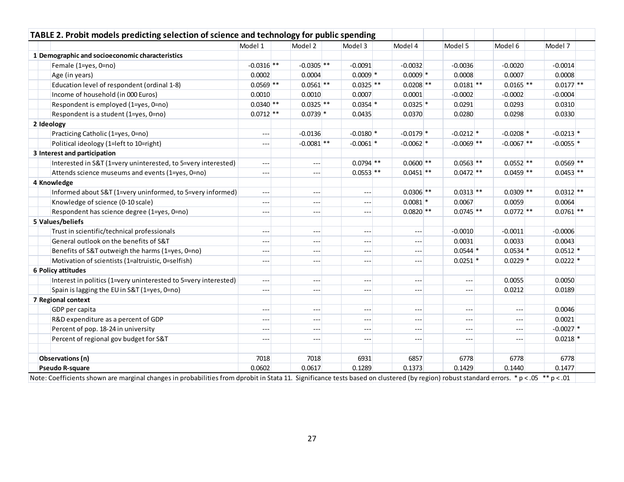|                                                                 | Model 1        | Model 2              | Model 3                                     | Model 4                | Model 5      | Model 6                | Model 7     |
|-----------------------------------------------------------------|----------------|----------------------|---------------------------------------------|------------------------|--------------|------------------------|-------------|
| 1 Demographic and socioeconomic characteristics                 |                |                      |                                             |                        |              |                        |             |
| Female (1=yes, 0=no)                                            | $-0.0316$ **   | $-0.0305$ **         | $-0.0091$                                   | $-0.0032$              | $-0.0036$    | $-0.0020$              | $-0.0014$   |
| Age (in years)                                                  | 0.0002         | 0.0004               | $0.0009$ <sup>*</sup>                       | $0.0009$ *             | 0.0008       | 0.0007                 | 0.0008      |
| Education level of respondent (ordinal 1-8)                     | $0.0569$ **    | $0.0561$ **          | $0.0325$ **                                 | $0.0208$ **            | $0.0181$ **  | $0.0165$ **            | $0.0177$ ** |
| Income of household (in 000 Euros)                              | 0.0010         | 0.0010               | 0.0007                                      | 0.0001                 | $-0.0002$    | $-0.0002$              | $-0.0004$   |
| Respondent is employed (1=yes, 0=no)                            | $0.0340$ **    | $0.0325$ **          | $0.0354$ *                                  | $0.0325$ *             | 0.0291       | 0.0293                 | 0.0310      |
| Respondent is a student (1=yes, 0=no)                           | $0.0712$ **    | $0.0739$ *           | 0.0435                                      | 0.0370                 | 0.0280       | 0.0298                 | 0.0330      |
| 2 Ideology                                                      |                |                      |                                             |                        |              |                        |             |
| Practicing Catholic (1=yes, 0=no)                               | $---$          | $-0.0136$            | $-0.0180$ <sup>*</sup>                      | $-0.0179$ <sup>*</sup> | $-0.0212$ *  | $-0.0208$ *            | $-0.0213$ * |
| Political ideology (1=left to 10=right)                         | $ -$           | $-0.0081$ **         | $-0.0061$ *                                 | $-0.0062$ *            | $-0.0069$ ** | $-0.0067$ **           | $-0.0055$ * |
| 3 Interest and participation                                    |                |                      |                                             |                        |              |                        |             |
| Interested in S&T (1=very uninterested, to 5=very interested)   | ---            | $---$                | $0.0794$ **                                 | $0.0600$ **            | $0.0563$ **  | $0.0552$ **            | $0.0569$ ** |
| Attends science museums and events (1=yes, 0=no)                | $ -$           | ---                  | $0.0553$ **                                 | $0.0451$ **            | $0.0472$ **  | $0.0459$ <sup>**</sup> | $0.0453$ ** |
| 4 Knowledge                                                     |                |                      |                                             |                        |              |                        |             |
| Informed about S&T (1=very uninformed, to 5=very informed)      | $\overline{a}$ | $\sim$ $\sim$ $\sim$ | $\sim$ $\sim$ $\sim$                        | $0.0306$ **            | $0.0313$ **  | $0.0309$ **            | $0.0312$ ** |
| Knowledge of science (0-10 scale)                               | $\overline{a}$ | $---$                | $\sim$ $\sim$ $\sim$                        | $0.0081$ *             | 0.0067       | 0.0059                 | 0.0064      |
| Respondent has science degree (1=yes, 0=no)                     | $---$          | $---$                | $\hspace{0.05cm} \ldots \hspace{0.05cm}$    | $0.0820$ **            | $0.0745$ **  | $0.0772$ **            | $0.0761$ ** |
| 5 Values/beliefs                                                |                |                      |                                             |                        |              |                        |             |
| Trust in scientific/technical professionals                     | $---$          | $- - -$              | $-$                                         | $\sim$ $\sim$ $\sim$   | $-0.0010$    | $-0.0011$              | $-0.0006$   |
| General outlook on the benefits of S&T                          | $ -$           | $\cdots$             | $\cdots$                                    | $\sim$ $\sim$ $\sim$   | 0.0031       | 0.0033                 | 0.0043      |
| Benefits of S&T outweigh the harms (1=yes, 0=no)                | $ -$           | $\cdots$             | $-$                                         | $-$                    | $0.0544$ *   | $0.0534$ *             | $0.0512$ *  |
| Motivation of scientists (1=altruistic, 0=selfish)              | $\overline{a}$ | $\cdots$             | $-$                                         | $\sim$ $\sim$ $\sim$   | $0.0251$ *   | $0.0229$ *             | $0.0222$ *  |
| 6 Policy attitudes                                              |                |                      |                                             |                        |              |                        |             |
| Interest in politics (1=very uninterested to 5=very interested) | $\overline{a}$ | $\sim$ $\sim$ $\sim$ | $\cdots$                                    | $\overline{a}$         | $\cdots$     | 0.0055                 | 0.0050      |
| Spain is lagging the EU in S&T (1=yes, 0=no)                    | $---$          | $---$                | $\scriptstyle \cdots$ $\scriptstyle \cdots$ | $\sim$ $\sim$ $\sim$   | $---$        | 0.0212                 | 0.0189      |
| 7 Regional context                                              |                |                      |                                             |                        |              |                        |             |
| GDP per capita                                                  | $ -$           | $---$                | $-$                                         | $---$                  | $---$        | $\overline{a}$         | 0.0046      |
| R&D expenditure as a percent of GDP                             | $ -$           | ---                  | $\cdots$                                    | $ -$                   | $- - -$      | $- - -$                | 0.0021      |
| Percent of pop. 18-24 in university                             | $---$          | $---$                | $\scriptstyle \cdots$ $\scriptstyle \cdots$ | $\overline{a}$         | $---$        | $\sim$ $\sim$ $\sim$   | $-0.0027$ * |
| Percent of regional gov budget for S&T                          | $---$          | ---                  | $  -$                                       | $---$                  | $---$        | $---$                  | $0.0218$ *  |
| Observations (n)                                                | 7018           | 7018                 | 6931                                        | 6857                   | 6778         | 6778                   | 6778        |
| <b>Pseudo R-square</b>                                          | 0.0602         | 0.0617               | 0.1289                                      | 0.1373                 | 0.1429       | 0.1440                 | 0.1477      |